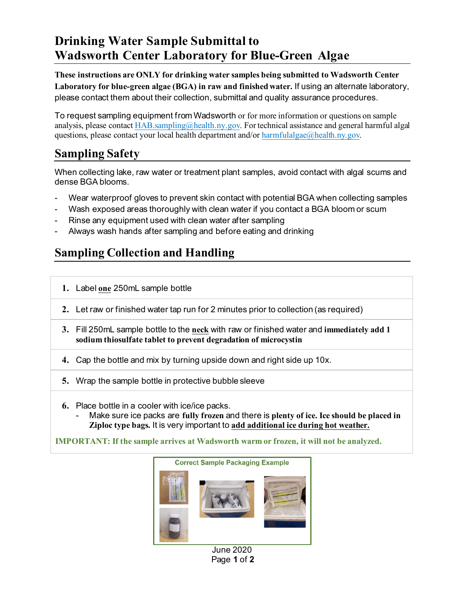## **Drinking Water Sample Submittal to Wadsworth Center Laboratory for Blue-Green Algae**

**These instructions are ONLY for drinking water samples being submitted to Wadsworth Center Laboratory for blue-green algae (BGA) in raw and finished water.** If using an alternate laboratory, please contact them about their collection, submittal and quality assurance procedures.

To request sampling equipment from Wadsworth or for more information or questions on sample analysis, please contac[t HAB.sampling@health.ny.gov](mailto:HAB.sampling@health.ny.gov). For technical assistance and general harmful algal questions, please contact your local health department and/or [harmfulalgae@health.ny.gov.](mailto:harmfulalgae@health.ny.gov)

## **Sampling Safety**

When collecting lake, raw water or treatment plant samples, avoid contact with algal scums and dense BGA blooms.

- Wear waterproof gloves to prevent skin contact with potential BGA when collecting samples
- Wash exposed areas thoroughly with clean water if you contact a BGA bloom or scum
- Rinse any equipment used with clean water after sampling
- Always wash hands after sampling and before eating and drinking

## **Sampling Collection and Handling**

- **1.** Label **one** 250mL sample bottle
- **2.** Let raw or finished water tap run for 2 minutes prior to collection (as required)
- **3.** Fill 250mL sample bottle to the **neck** with raw or finished water and **immediately add 1 sodium thiosulfate tablet to prevent degradation of microcystin**
- **4.** Cap the bottle and mix by turning upside down and right side up 10x.
- **5.** Wrap the sample bottle in protective bubble sleeve
- **6.** Place bottle in a cooler with ice/ice packs.
	- Make sure ice packs are **fully frozen** and there is **plenty of ice. Ice should be placed in Ziploc type bags.** It is very important to **add additional ice during hot weather.**

**IMPORTANT: If the sample arrives at Wadsworth warm or frozen, it will not be analyzed.**



June 2020 Page **1** of **2**